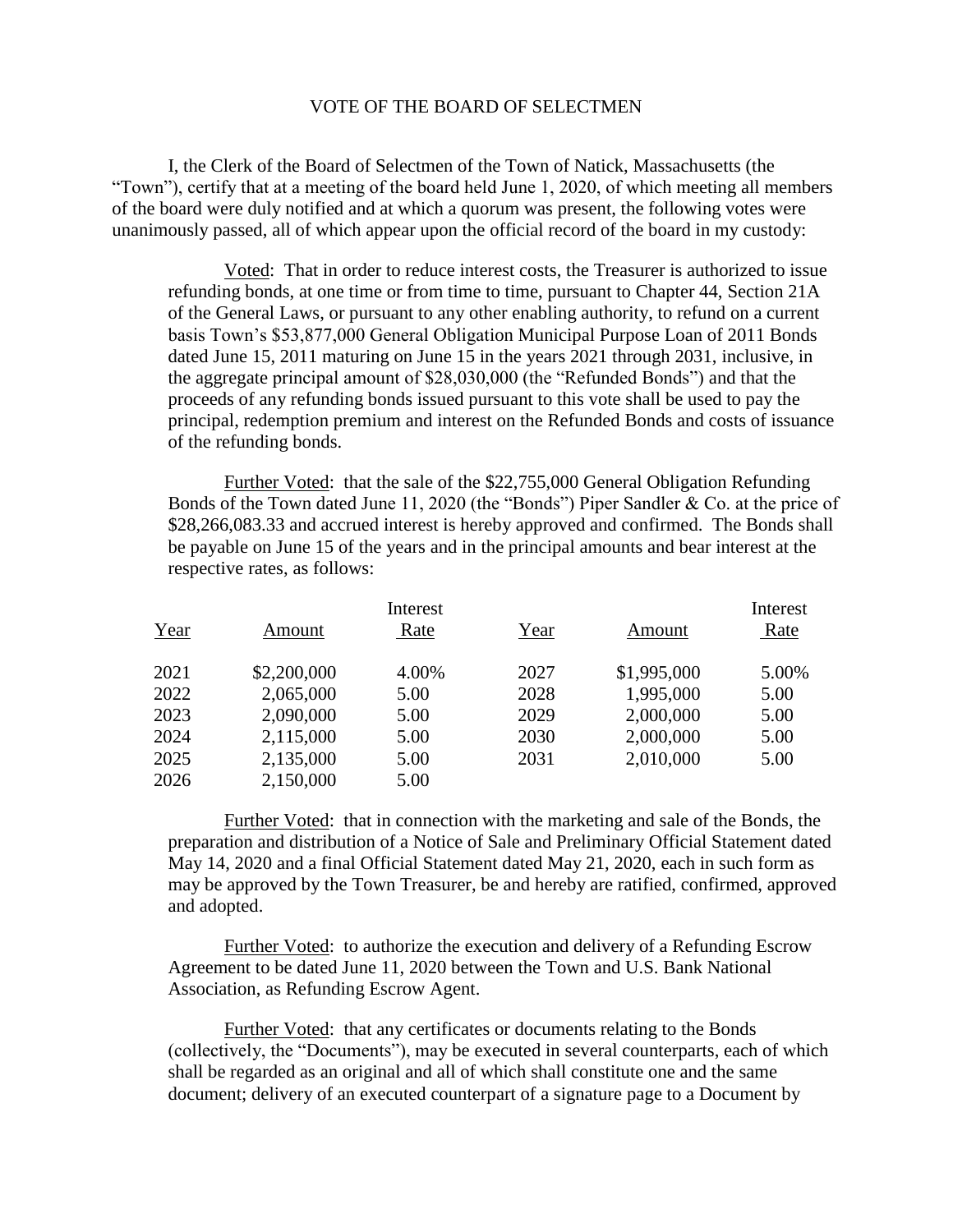## VOTE OF THE BOARD OF SELECTMEN

I, the Clerk of the Board of Selectmen of the Town of Natick, Massachusetts (the "Town"), certify that at a meeting of the board held June 1, 2020, of which meeting all members of the board were duly notified and at which a quorum was present, the following votes were unanimously passed, all of which appear upon the official record of the board in my custody:

Voted: That in order to reduce interest costs, the Treasurer is authorized to issue refunding bonds, at one time or from time to time, pursuant to Chapter 44, Section 21A of the General Laws, or pursuant to any other enabling authority, to refund on a current basis Town's \$53,877,000 General Obligation Municipal Purpose Loan of 2011 Bonds dated June 15, 2011 maturing on June 15 in the years 2021 through 2031, inclusive, in the aggregate principal amount of \$28,030,000 (the "Refunded Bonds") and that the proceeds of any refunding bonds issued pursuant to this vote shall be used to pay the principal, redemption premium and interest on the Refunded Bonds and costs of issuance of the refunding bonds.

Further Voted: that the sale of the \$22,755,000 General Obligation Refunding Bonds of the Town dated June 11, 2020 (the "Bonds") Piper Sandler & Co. at the price of \$28,266,083.33 and accrued interest is hereby approved and confirmed. The Bonds shall be payable on June 15 of the years and in the principal amounts and bear interest at the respective rates, as follows:

|      | Interest    |       |      |             | Interest |
|------|-------------|-------|------|-------------|----------|
| Year | Amount      | Rate  | Year | Amount      | Rate     |
| 2021 | \$2,200,000 | 4.00% | 2027 | \$1,995,000 | 5.00%    |
| 2022 | 2,065,000   | 5.00  | 2028 | 1,995,000   | 5.00     |
| 2023 | 2,090,000   | 5.00  | 2029 | 2,000,000   | 5.00     |
| 2024 | 2,115,000   | 5.00  | 2030 | 2,000,000   | 5.00     |
| 2025 | 2,135,000   | 5.00  | 2031 | 2,010,000   | 5.00     |
| 2026 | 2,150,000   | 5.00  |      |             |          |

Further Voted: that in connection with the marketing and sale of the Bonds, the preparation and distribution of a Notice of Sale and Preliminary Official Statement dated May 14, 2020 and a final Official Statement dated May 21, 2020, each in such form as may be approved by the Town Treasurer, be and hereby are ratified, confirmed, approved and adopted.

Further Voted: to authorize the execution and delivery of a Refunding Escrow Agreement to be dated June 11, 2020 between the Town and U.S. Bank National Association, as Refunding Escrow Agent.

Further Voted: that any certificates or documents relating to the Bonds (collectively, the "Documents"), may be executed in several counterparts, each of which shall be regarded as an original and all of which shall constitute one and the same document; delivery of an executed counterpart of a signature page to a Document by